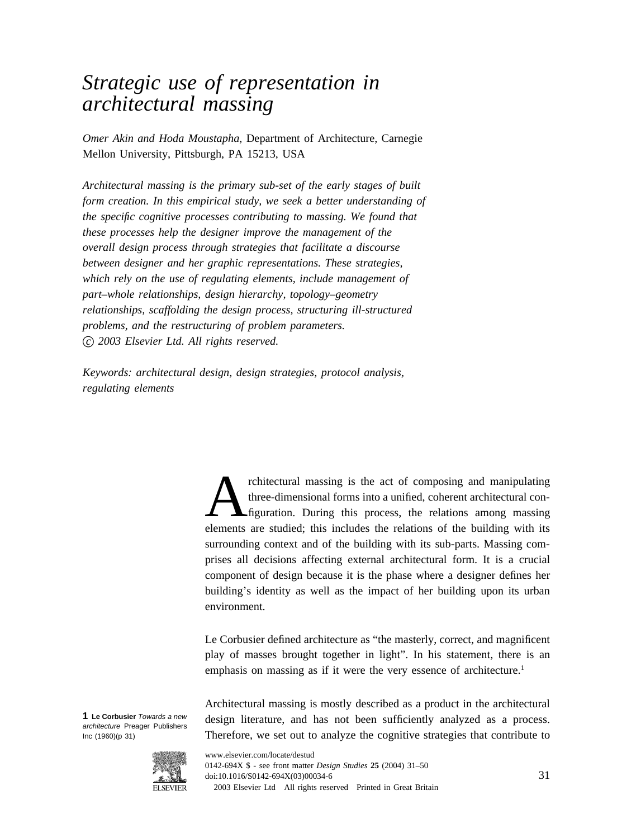## *Strategic use of representation in architectural massing*

*Omer Akin and Hoda Moustapha,* Department of Architecture, Carnegie Mellon University, Pittsburgh, PA 15213, USA

*Architectural massing is the primary sub-set of the early stages of built form creation. In this empirical study, we seek a better understanding of the specific cognitive processes contributing to massing. We found that these processes help the designer improve the management of the overall design process through strategies that facilitate a discourse between designer and her graphic representations. These strategies, which rely on the use of regulating elements, include management of part–whole relationships, design hierarchy, topology–geometry relationships, scaffolding the design process, structuring ill-structured problems, and the restructuring of problem parameters. c 2003 Elsevier Ltd. All rights reserved.*

*Keywords: architectural design, design strategies, protocol analysis, regulating elements*

> rchitectural massing is the act of composing and manipulating<br>three-dimensional forms into a unified, coherent architectural con-<br>figuration. During this process, the relations among massing<br>elements are studied: this incl three-dimensional forms into a unified, coherent architectural configuration. During this process, the relations among massing elements are studied; this includes the relations of the building with its surrounding context and of the building with its sub-parts. Massing comprises all decisions affecting external architectural form. It is a crucial component of design because it is the phase where a designer defines her building's identity as well as the impact of her building upon its urban environment.

> Le Corbusier defined architecture as "the masterly, correct, and magnificent play of masses brought together in light". In his statement, there is an emphasis on massing as if it were the very essence of architecture.<sup>1</sup>

> Architectural massing is mostly described as a product in the architectural design literature, and has not been sufficiently analyzed as a process. Therefore, we set out to analyze the cognitive strategies that contribute to

**1 Le Corbusier** Towards a new architecture Preager Publishers Inc (1960)(p 31)

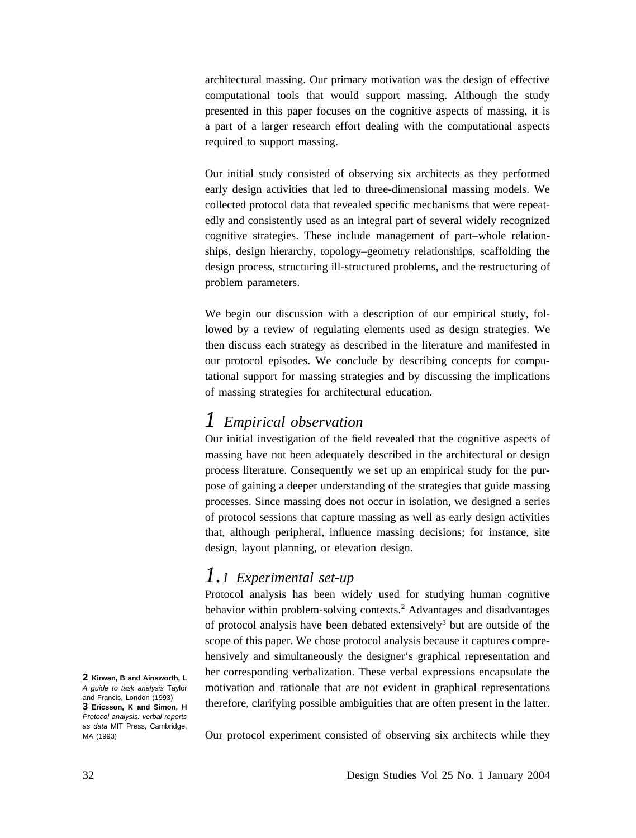architectural massing. Our primary motivation was the design of effective computational tools that would support massing. Although the study presented in this paper focuses on the cognitive aspects of massing, it is a part of a larger research effort dealing with the computational aspects required to support massing.

Our initial study consisted of observing six architects as they performed early design activities that led to three-dimensional massing models. We collected protocol data that revealed specific mechanisms that were repeatedly and consistently used as an integral part of several widely recognized cognitive strategies. These include management of part–whole relationships, design hierarchy, topology–geometry relationships, scaffolding the design process, structuring ill-structured problems, and the restructuring of problem parameters.

We begin our discussion with a description of our empirical study, followed by a review of regulating elements used as design strategies. We then discuss each strategy as described in the literature and manifested in our protocol episodes. We conclude by describing concepts for computational support for massing strategies and by discussing the implications of massing strategies for architectural education.

## *1 Empirical observation*

Our initial investigation of the field revealed that the cognitive aspects of massing have not been adequately described in the architectural or design process literature. Consequently we set up an empirical study for the purpose of gaining a deeper understanding of the strategies that guide massing processes. Since massing does not occur in isolation, we designed a series of protocol sessions that capture massing as well as early design activities that, although peripheral, influence massing decisions; for instance, site design, layout planning, or elevation design.

## *1.1 Experimental set-up*

Protocol analysis has been widely used for studying human cognitive behavior within problem-solving contexts.<sup>2</sup> Advantages and disadvantages of protocol analysis have been debated extensively<sup>3</sup> but are outside of the scope of this paper. We chose protocol analysis because it captures comprehensively and simultaneously the designer's graphical representation and her corresponding verbalization. These verbal expressions encapsulate the motivation and rationale that are not evident in graphical representations therefore, clarifying possible ambiguities that are often present in the latter.

**2 Kirwan, B and Ainsworth, L** A guide to task analysis Taylor and Francis, London (1993) **3 Ericsson, K and Simon, H** Protocol analysis: verbal reports as data MIT Press, Cambridge, MA (1993)

Our protocol experiment consisted of observing six architects while they